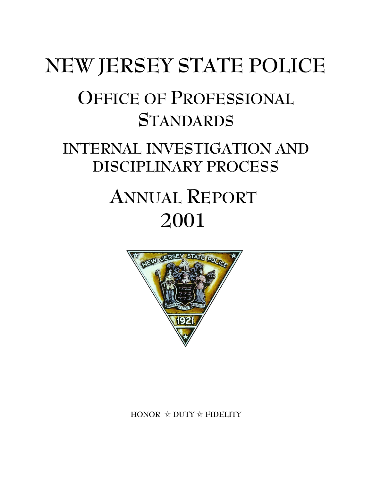# **NEW JERSEY STATE POLICE OFFICE OF PROFESSIONAL STANDARDS INTERNAL INVESTIGATION AND DISCIPLINARY PROCESS ANNUAL REPORT 2001**



**HONOR** j **DUTY** j **FIDELITY**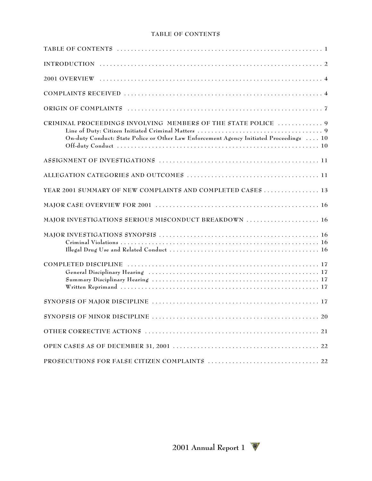#### **TABLE OF CONTENTS**

| CRIMINAL PROCEEDINGS INVOLVING MEMBERS OF THE STATE POLICE  9<br>On-duty Conduct: State Police or Other Law Enforcement Agency Initiated Proceedings  10 |
|----------------------------------------------------------------------------------------------------------------------------------------------------------|
|                                                                                                                                                          |
|                                                                                                                                                          |
| YEAR 2001 SUMMARY OF NEW COMPLAINTS AND COMPLETED CASES 13                                                                                               |
|                                                                                                                                                          |
|                                                                                                                                                          |
|                                                                                                                                                          |
|                                                                                                                                                          |
|                                                                                                                                                          |
| SYNOPSIS OF MINOR DISCIPLINE.<br>$\ldots 20$                                                                                                             |
|                                                                                                                                                          |
|                                                                                                                                                          |
|                                                                                                                                                          |

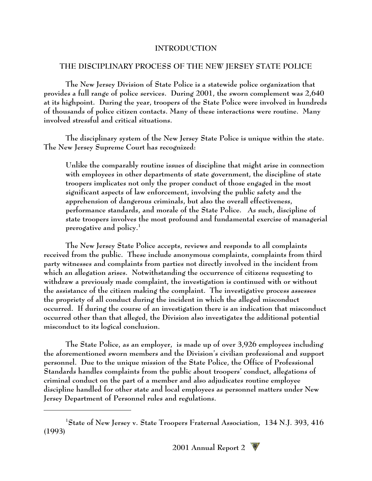## **INTRODUCTION**

## **THE DISCIPLINARY PROCESS OF THE NEW JERSEY STATE POLICE**

**The New Jersey Division of State Police is a statewide police organization that provides a full range of police services. During 2001, the sworn complement was 2,640 at its highpoint. During the year, troopers of the State Police were involved in hundreds of thousands of police citizen contacts. Many of these interactions were routine. Many involved stressful and critical situations.** 

**The disciplinary system of the New Jersey State Police is unique within the state. The New Jersey Supreme Court has recognized:**

**Unlike the comparably routine issues of discipline that might arise in connection with employees in other departments of state government, the discipline of state troopers implicates not only the proper conduct of those engaged in the most significant aspects of law enforcement, involving the public safety and the apprehension of dangerous criminals, but also the overall effectiveness, performance standards, and morale of the State Police. As such, discipline of state troopers involves the most profound and fundamental exercise of managerial prerogative and policy. 1**

**The New Jersey State Police accepts, reviews and responds to all complaints received from the public. These include anonymous complaints, complaints from third party witnesses and complaints from parties not directly involved in the incident from which an allegation arises. Notwithstanding the occurrence of citizens requesting to withdraw a previously made complaint, the investigation is continued with or without the assistance of the citizen making the complaint. The investigative process assesses the propriety of all conduct during the incident in which the alleged misconduct occurred. If during the course of an investigation there is an indication that misconduct occurred other than that alleged, the Division also investigates the additional potential misconduct to its logical conclusion.**

**The State Police, as an employer, is made up of over 3,926 employees including the aforementioned sworn members and the Division's civilian professional and support personnel. Due to the unique mission of the State Police, the Office of Professional Standards handles complaints from the public about troopers' conduct, allegations of criminal conduct on the part of a member and also adjudicates routine employee discipline handled for other state and local employees as personnel matters under New Jersey Department of Personnel rules and regulations.**

**State of New Jersey v. State Troopers Fraternal Association, 134 N.J. 393, 416 <sup>1</sup> (1993)**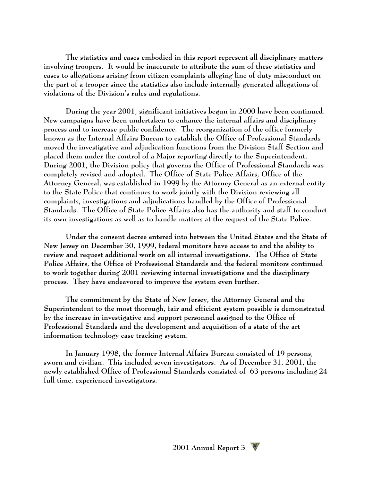**The statistics and cases embodied in this report represent all disciplinary matters involving troopers. It would be inaccurate to attribute the sum of these statistics and cases to allegations arising from citizen complaints alleging line of duty misconduct on the part of a trooper since the statistics also include internally generated allegations of violations of the Division's rules and regulations.**

**During the year 2001, significant initiatives begun in 2000 have been continued. New campaigns have been undertaken to enhance the internal affairs and disciplinary process and to increase public confidence. The reorganization of the office formerly known as the Internal Affairs Bureau to establish the Office of Professional Standards moved the investigative and adjudication functions from the Division Staff Section and placed them under the control of a Major reporting directly to the Superintendent. During 2001, the Division policy that governs the Office of Professional Standards was completely revised and adopted. The Office of State Police Affairs, Office of the Attorney General, was established in 1999 by the Attorney General as an external entity to the State Police that continues to work jointly with the Division reviewing all complaints, investigations and adjudications handled by the Office of Professional Standards. The Office of State Police Affairs also has the authority and staff to conduct its own investigations as well as to handle matters at the request of the State Police.**

**Under the consent decree entered into between the United States and the State of New Jersey on December 30, 1999, federal monitors have access to and the ability to review and request additional work on all internal investigations. The Office of State Police Affairs, the Office of Professional Standards and the federal monitors continued to work together during 2001 reviewing internal investigations and the disciplinary process. They have endeavored to improve the system even further.**

**The commitment by the State of New Jersey, the Attorney General and the Superintendent to the most thorough, fair and efficient system possible is demonstrated by the increase in investigative and support personnel assigned to the Office of Professional Standards and the development and acquisition of a state of the art information technology case tracking system.**

**In January 1998, the former Internal Affairs Bureau consisted of 19 persons, sworn and civilian. This included seven investigators. As of December 31, 2001, the newly established Office of Professional Standards consisted of 63 persons including 24 full time, experienced investigators.**

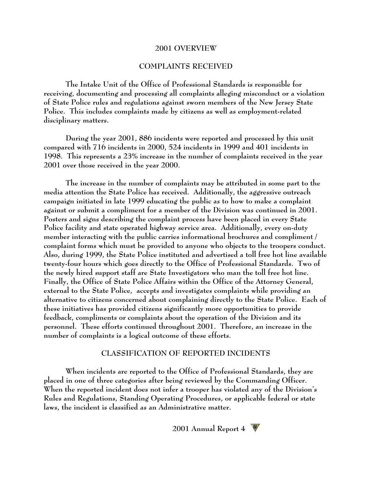#### **2001 OVERVIEW**

#### **COMPLAINTS RECEIVED**

**The Intake Unit of the Office of Professional Standards is responsible for receiving, documenting and processing all complaints alleging misconduct or a violation of State Police rules and regulations against sworn members of the New Jersey State Police. This includes complaints made by citizens as well as employment-related disciplinary matters.**

**During the year 2001, 886 incidents were reported and processed by this unit compared with 716 incidents in 2000, 524 incidents in 1999 and 401 incidents in 1998. This represents a 23% increase in the number of complaints received in the year 2001 over those received in the year 2000.** 

**The increase in the number of complaints may be attributed in some part to the media attention the State Police has received. Additionally, the aggressive outreach campaign initiated in late 1999 educating the public as to how to make a complaint against or submit a compliment for a member of the Division was continued in 2001. Posters and signs describing the complaint process have been placed in every State Police facility and state operated highway service area. Additionally, every on-duty member interacting with the public carries informational brochures and compliment / complaint forms which must be provided to anyone who objects to the troopers conduct. Also, during 1999, the State Police instituted and advertised a toll free hot line available twenty-four hours which goes directly to the Office of Professional Standards. Two of the newly hired support staff are State Investigators who man the toll free hot line. Finally, the Office of State Police Affairs within the Office of the Attorney General, external to the State Police, accepts and investigates complaints while providing an alternative to citizens concerned about complaining directly to the State Police. Each of these initiatives has provided citizens significantly more opportunities to provide feedback, compliments or complaints about the operation of the Division and its personnel. These efforts continued throughout 2001. Therefore, an increase in the number of complaints is a logical outcome of these efforts.**

#### **CLASSIFICATION OF REPORTED INCIDENTS**

**When incidents are reported to the Office of Professional Standards, they are placed in one of three categories after being reviewed by the Commanding Officer. When the reported incident does not infer a trooper has violated any of the Division's Rules and Regulations, Standing Operating Procedures, or applicable federal or state laws, the incident is classified as an Administrative matter.**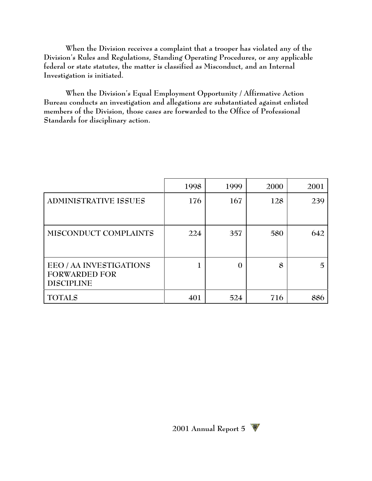**When the Division receives a complaint that a trooper has violated any of the Division's Rules and Regulations, Standing Operating Procedures, or any applicable federal or state statutes, the matter is classified as Misconduct, and an Internal Investigation is initiated.**

**When the Division's Equal Employment Opportunity / Affirmative Action Bureau conducts an investigation and allegations are substantiated against enlisted members of the Division, those cases are forwarded to the Office of Professional Standards for disciplinary action.**

|                                                                      | 1998 | 1999     | 2000 | 2001 |
|----------------------------------------------------------------------|------|----------|------|------|
| ADMINISTRATIVE ISSUES                                                | 176  | 167      | 128  | 239  |
| MISCONDUCT COMPLAINTS                                                | 224  | 357      | 580  | 642  |
| EEO / AA INVESTIGATIONS<br><b>FORWARDED FOR</b><br><b>DISCIPLINE</b> |      | $\Omega$ | 8    | 5    |
| <b>TOTALS</b>                                                        | 401  | 524      | 716  | 886  |

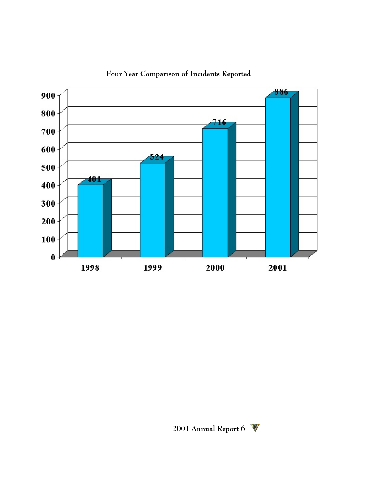

**Four Year Comparison of Incidents Reported**

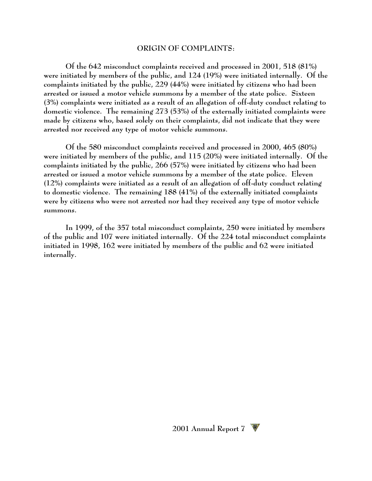#### **ORIGIN OF COMPLAINTS:**

**Of the 642 misconduct complaints received and processed in 2001, 518 (81%) were initiated by members of the public, and 124 (19%) were initiated internally. Of the complaints initiated by the public, 229 (44%) were initiated by citizens who had been arrested or issued a motor vehicle summons by a member of the state police. Sixteen (3%) complaints were initiated as a result of an allegation of off-duty conduct relating to domestic violence. The remaining 273 (53%) of the externally initiated complaints were made by citizens who, based solely on their complaints, did not indicate that they were arrested nor received any type of motor vehicle summons.**

**Of the 580 misconduct complaints received and processed in 2000, 465 (80%) were initiated by members of the public, and 115 (20%) were initiated internally. Of the complaints initiated by the public, 266 (57%) were initiated by citizens who had been arrested or issued a motor vehicle summons by a member of the state police. Eleven (12%) complaints were initiated as a result of an allegation of off-duty conduct relating to domestic violence. The remaining 188 (41%) of the externally initiated complaints were by citizens who were not arrested nor had they received any type of motor vehicle summons.**

**In 1999, of the 357 total misconduct complaints, 250 were initiated by members of the public and 107 were initiated internally. Of the 224 total misconduct complaints initiated in 1998, 162 were initiated by members of the public and 62 were initiated internally.**

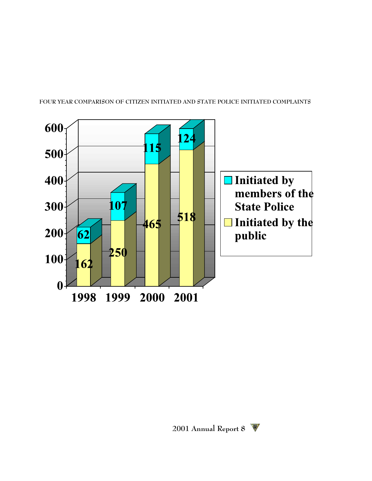



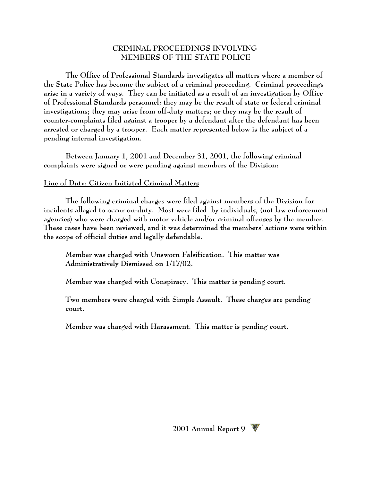## **CRIMINAL PROCEEDINGS INVOLVING MEMBERS OF THE STATE POLICE**

**The Office of Professional Standards investigates all matters where a member of the State Police has become the subject of a criminal proceeding. Criminal proceedings arise in a variety of ways. They can be initiated as a result of an investigation by Office of Professional Standards personnel; they may be the result of state or federal criminal investigations; they may arise from off-duty matters; or they may be the result of counter-complaints filed against a trooper by a defendant after the defendant has been arrested or charged by a trooper. Each matter represented below is the subject of a pending internal investigation.**

**Between January 1, 2001 and December 31, 2001, the following criminal complaints were signed or were pending against members of the Division:**

#### **Line of Duty: Citizen Initiated Criminal Matters**

**The following criminal charges were filed against members of the Division for incidents alleged to occur on-duty. Most were filed by individuals, (not law enforcement agencies) who were charged with motor vehicle and/or criminal offenses by the member. These cases have been reviewed, and it was determined the members' actions were within the scope of official duties and legally defendable.**

**Member was charged with Unsworn Falsification. This matter was Administratively Dismissed on 1/17/02.** 

**Member was charged with Conspiracy. This matter is pending court.**

**Two members were charged with Simple Assault. These charges are pending court.**

**Member was charged with Harassment. This matter is pending court.** 

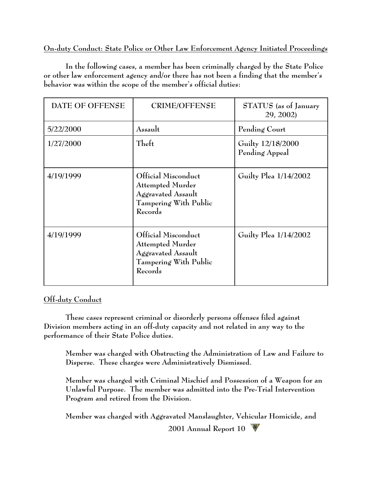# **On-duty Conduct: State Police or Other Law Enforcement Agency Initiated Proceedings**

**In the following cases, a member has been criminally charged by the State Police or other law enforcement agency and/or there has not been a finding that the member's behavior was within the scope of the member's official duties:**

| DATE OF OFFENSE | <b>CRIME/OFFENSE</b>                                                                                     | STATUS (as of January<br>29, 2002)  |
|-----------------|----------------------------------------------------------------------------------------------------------|-------------------------------------|
| 5/22/2000       | Assault                                                                                                  | Pending Court                       |
| 1/27/2000       | Theft                                                                                                    | Guilty 12/18/2000<br>Pending Appeal |
| 4/19/1999       | Official Misconduct<br><b>Attempted Murder</b><br>Aggravated Assault<br>Tampering With Public<br>Records | Guilty Plea 1/14/2002               |
| 4/19/1999       | Official Misconduct<br><b>Attempted Murder</b><br>Aggravated Assault<br>Tampering With Public<br>Records | Guilty Plea 1/14/2002               |

# **Off-duty Conduct**

**These cases represent criminal or disorderly persons offenses filed against Division members acting in an off-duty capacity and not related in any way to the performance of their State Police duties.**

**Member was charged with Obstructing the Administration of Law and Failure to Disperse. These charges were Administratively Dismissed.**

**Member was charged with Criminal Mischief and Possession of a Weapon for an Unlawful Purpose. The member was admitted into the Pre-Trial Intervention Program and retired from the Division.**

**2001 Annual Report 10 Member was charged with Aggravated Manslaughter, Vehicular Homicide, and**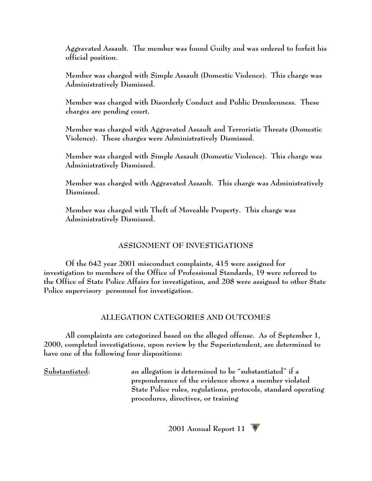**Aggravated Assault. The member was found Guilty and was ordered to forfeit his official position.**

**Member was charged with Simple Assault (Domestic Violence). This charge was Administratively Dismissed.** 

**Member was charged with Disorderly Conduct and Public Drunkenness. These charges are pending court.**

**Member was charged with Aggravated Assault and Terroristic Threats (Domestic Violence). These charges were Administratively Dismissed.**

**Member was charged with Simple Assault (Domestic Violence). This charge was Administratively Dismissed.**

**Member was charged with Aggravated Assault. This charge was Administratively Dismissed.**

**Member was charged with Theft of Moveable Property. This charge was Administratively Dismissed.**

# **ASSIGNMENT OF INVESTIGATIONS**

**Of the 642 year 2001 misconduct complaints, 415 were assigned for investigation to members of the Office of Professional Standards, 19 were referred to the Office of State Police Affairs for investigation, and 208 were assigned to other State Police supervisory personnel for investigation.**

## **ALLEGATION CATEGORIES AND OUTCOMES**

**All complaints are categorized based on the alleged offense. As of September 1, 2000, completed investigations, upon review by the Superintendent, are determined to have one of the following four dispositions:**

**Substantiated: an allegation is determined to be "substantiated" if a preponderance of the evidence shows a member violated State Police rules, regulations, protocols, standard operating procedures, directives, or training**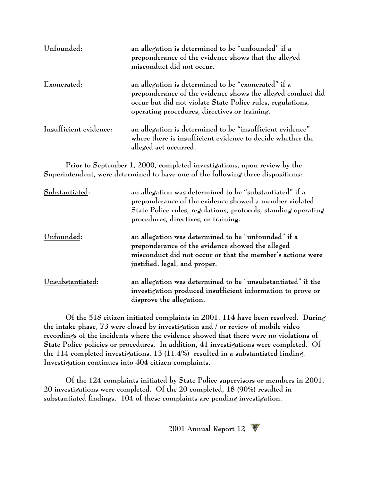| Unfounded:             | an allegation is determined to be "unfounded" if a<br>preponderance of the evidence shows that the alleged<br>misconduct did not occur.                                                                                           |
|------------------------|-----------------------------------------------------------------------------------------------------------------------------------------------------------------------------------------------------------------------------------|
| Exonerated:            | an allegation is determined to be "exonerated" if a<br>preponderance of the evidence shows the alleged conduct did<br>occur but did not violate State Police rules, regulations,<br>operating procedures, directives or training. |
| Insufficient evidence: | an allegation is determined to be "insufficient evidence"<br>where there is insufficient evidence to decide whether the<br>alleged act occurred.                                                                                  |

**Prior to September 1, 2000, completed investigations, upon review by the Superintendent, were determined to have one of the following three dispositions:**

| Substantiated:   | an allegation was determined to be "substantiated" if a<br>preponderance of the evidence showed a member violated<br>State Police rules, regulations, protocols, standing operating<br>procedures, directives, or training. |
|------------------|-----------------------------------------------------------------------------------------------------------------------------------------------------------------------------------------------------------------------------|
| Unfounded:       | an allegation was determined to be "unfounded" if a<br>preponderance of the evidence showed the alleged<br>misconduct did not occur or that the member's actions were<br>justified, legal, and proper.                      |
| Unsubstantiated: | an allegation was determined to be "unsubstantiated" if the<br>investigation produced insufficient information to prove or<br>disprove the allegation.                                                                      |

**Of the 518 citizen initiated complaints in 2001, 114 have been resolved. During the intake phase, 73 were closed by investigation and / or review of mobile video recordings of the incidents where the evidence showed that there were no violations of State Police policies or procedures. In addition, 41 investigations were completed. Of the 114 completed investigations, 13 (11.4%) resulted in a substantiated finding. Investigation continues into 404 citizen complaints.**

**Of the 124 complaints initiated by State Police supervisors or members in 2001, 20 investigations were completed. Of the 20 completed, 18 (90%) resulted in substantiated findings. 104 of these complaints are pending investigation.**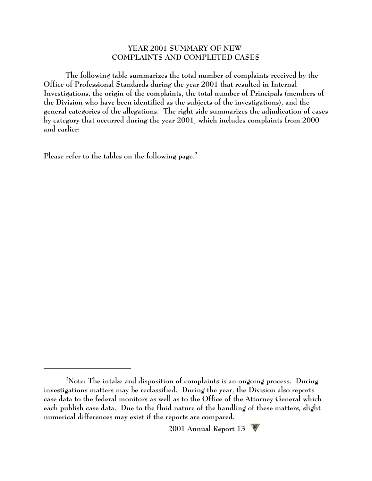#### **YEAR 2001 SUMMARY OF NEW COMPLAINTS AND COMPLETED CASES**

**The following table summarizes the total number of complaints received by the Office of Professional Standards during the year 2001 that resulted in Internal Investigations, the origin of the complaints, the total number of Principals (members of the Division who have been identified as the subjects of the investigations), and the general categories of the allegations. The right side summarizes the adjudication of cases by category that occurred during the year 2001, which includes complaints from 2000 and earlier:**

**Please refer to the tables on the following page.<sup>2</sup>**

**Note: The intake and disposition of complaints is an ongoing process. During <sup>2</sup> investigations matters may be reclassified. During the year, the Division also reports case data to the federal monitors as well as to the Office of the Attorney General which each publish case data. Due to the fluid nature of the handling of these matters, slight numerical differences may exist if the reports are compared.**

**<sup>2001</sup> Annual Report 13**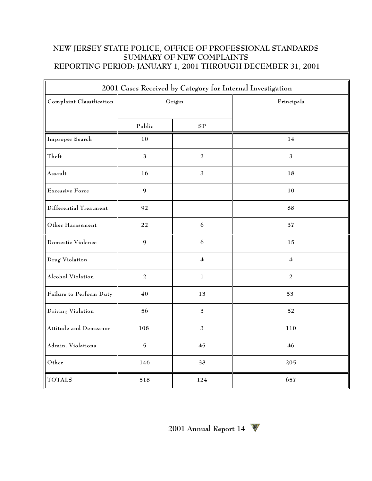# **NEW JERSEY STATE POLICE, OFFICE OF PROFESSIONAL STANDARDS SUMMARY OF NEW COMPLAINTS REPORTING PERIOD: JANUARY 1, 2001 THROUGH DECEMBER 31, 2001**

| 2001 Cases Received by Category for Internal Investigation |                  |                         |                |  |  |
|------------------------------------------------------------|------------------|-------------------------|----------------|--|--|
| Complaint Classification                                   | Origin           |                         | Principals     |  |  |
|                                                            | Public           | ${\bf SP}$              |                |  |  |
| Improper Search                                            | 10               |                         | 14             |  |  |
| Theft                                                      | $\mathfrak{Z}$   | $\overline{a}$          | $\mathfrak{Z}$ |  |  |
| Assault                                                    | 16               | $\mathfrak{Z}$          | 18             |  |  |
| Excessive Force                                            | $\boldsymbol{9}$ |                         | 10             |  |  |
| Differential Treatment                                     | 92               |                         | 88             |  |  |
| Other Harassment                                           | 22               | 6                       | 37             |  |  |
| Domestic Violence                                          | 9                | 6                       | 15             |  |  |
| Drug Violation                                             |                  | $\overline{\mathbf{4}}$ | $\overline{4}$ |  |  |
| Alcohol Violation                                          | $\overline{a}$   | $\mathbf 1$             | $\overline{a}$ |  |  |
| Failure to Perform Duty                                    | $40\,$           | 13                      | 53             |  |  |
| Driving Violation                                          | 56               | $\mathfrak{Z}$          | 52             |  |  |
| Attitude and Demeanor                                      | 108              | $\mathfrak{Z}$          | 110            |  |  |
| Admin. Violations                                          | $\mathbf 5$      | 45                      | 46             |  |  |
| Other                                                      | 146              | 38                      | 205            |  |  |
| <b>TOTALS</b>                                              | 518              | 124                     | 657            |  |  |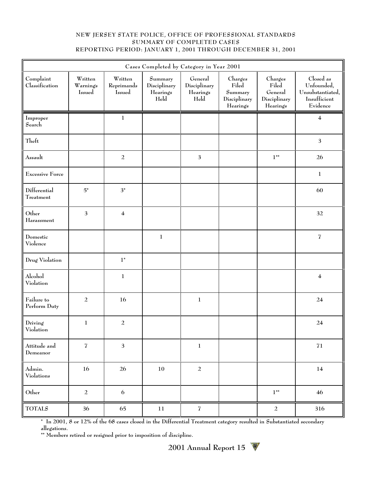#### **NEW JERSEY STATE POLICE, OFFICE OF PROFESSIONAL STANDARDS SUMMARY OF COMPLETED CASES REPORTING PERIOD: JANUARY 1, 2001 THROUGH DECEMBER 31, 2001**

|                             | Cases Completed by Category in Year 2001 |                                 |                                             |                                             |                                                                          |                                                         |                                                                         |  |
|-----------------------------|------------------------------------------|---------------------------------|---------------------------------------------|---------------------------------------------|--------------------------------------------------------------------------|---------------------------------------------------------|-------------------------------------------------------------------------|--|
| Complaint<br>Classification | Written<br>Warnings<br>Issued            | Written<br>Reprimands<br>Issued | Summary<br>Disciplinary<br>Hearings<br>Held | General<br>Disciplinary<br>Hearings<br>Held | Charges<br>Filed<br>$\operatorname{Summary}$<br>Disciplinary<br>Hearings | Charges<br>Filed<br>General<br>Disciplinary<br>Hearings | Closed as<br>Unfounded,<br>Unsubstantiated,<br>Insufficient<br>Evidence |  |
| Improper<br>Search          |                                          | $\mathbf 1$                     |                                             |                                             |                                                                          |                                                         | $\overline{\mathbf{4}}$                                                 |  |
| Theft                       |                                          |                                 |                                             |                                             |                                                                          |                                                         | $\ensuremath{\mathsf{3}}$                                               |  |
| Assault                     |                                          | $\sqrt{2}$                      |                                             | $\mathfrak{Z}$                              |                                                                          | $1**$                                                   | 26                                                                      |  |
| <b>Excessive Force</b>      |                                          |                                 |                                             |                                             |                                                                          |                                                         | $1\,$                                                                   |  |
| Differential<br>Treatment   | ${\bf 5^*}$                              | $3^*$                           |                                             |                                             |                                                                          |                                                         | 60                                                                      |  |
| Other<br>Harassment         | $\mathbf{3}$                             | $\overline{\mathbf{4}}$         |                                             |                                             |                                                                          |                                                         | 32                                                                      |  |
| Domestic<br>Violence        |                                          |                                 | $\,1$                                       |                                             |                                                                          |                                                         | $\overline{\mathfrak{I}}$                                               |  |
| Drug Violation              |                                          | $1^{\ast}$                      |                                             |                                             |                                                                          |                                                         |                                                                         |  |
| Alcohol<br>Violation        |                                          | $\mathbf{1}$                    |                                             |                                             |                                                                          |                                                         | $\overline{\mathbf{4}}$                                                 |  |
| Failure to<br>Perform Duty  | $\overline{a}$                           | 16                              |                                             | $\,1$                                       |                                                                          |                                                         | 24                                                                      |  |
| Driving<br>Violation        | $\mathbf{1}$                             | $\sqrt{2}$                      |                                             |                                             |                                                                          |                                                         | 24                                                                      |  |
| Attitude and<br>Demeanor    | $\overline{\mathbf{I}}$                  | $\mathfrak{Z}$                  |                                             | $\,1$                                       |                                                                          |                                                         | $71\,$                                                                  |  |
| Admin.<br>Violations        | 16                                       | 26                              | $10\,$                                      | $\overline{a}$                              |                                                                          |                                                         | 14                                                                      |  |
| Other                       | $\sqrt{2}$                               | 6                               |                                             |                                             |                                                                          | $1**$                                                   | 46                                                                      |  |
| <b>TOTALS</b>               | 36                                       | 65                              | 11                                          | $\overline{\mathbf{Z}}$                     |                                                                          | $\overline{a}$                                          | 316                                                                     |  |

**\* In 2001, 8 or 12% of the 68 cases closed in the Differential Treatment category resulted in Substantiated secondary allegations.**

**\*\* Members retired or resigned prior to imposition of discipline.**

**2001 Annual Report 15**  W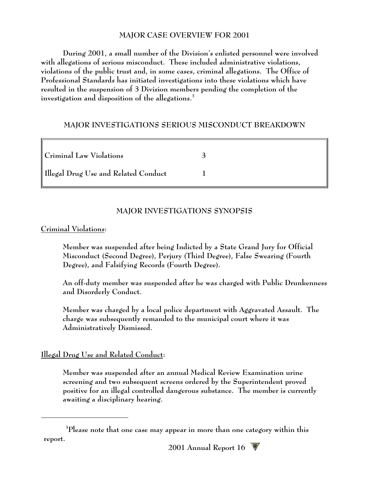## **MAJOR CASE OVERVIEW FOR 2001**

**During 2001, a small number of the Division's enlisted personnel were involved with allegations of serious misconduct. These included administrative violations, violations of the public trust and, in some cases, criminal allegations. The Office of Professional Standards has initiated investigations into these violations which have resulted in the suspension of 3 Division members pending the completion of the investigation and disposition of the allegations.<sup>3</sup>**

## **MAJOR INVESTIGATIONS SERIOUS MISCONDUCT BREAKDOWN**

| <b>Criminal Law Violations</b>       |  |
|--------------------------------------|--|
| Illegal Drug Use and Related Conduct |  |

# **MAJOR INVESTIGATIONS SYNOPSIS**

# **Criminal Violations:**

**Member was suspended after being Indicted by a State Grand Jury for Official Misconduct (Second Degree), Perjury (Third Degree), False Swearing (Fourth Degree), and Falsifying Records (Fourth Degree).**

**An off-duty member was suspended after he was charged with Public Drunkenness and Disorderly Conduct.**

**Member was charged by a local police department with Aggravated Assault. The charge was subsequently remanded to the municipal court where it was Administratively Dismissed.**

# **Illegal Drug Use and Related Conduct:**

**Member was suspended after an annual Medical Review Examination urine screening and two subsequent screens ordered by the Superintendent proved positive for an illegal controlled dangerous substance. The member is currently awaiting a disciplinary hearing.**

**Please note that one case may appear in more than one category within this <sup>3</sup> report.**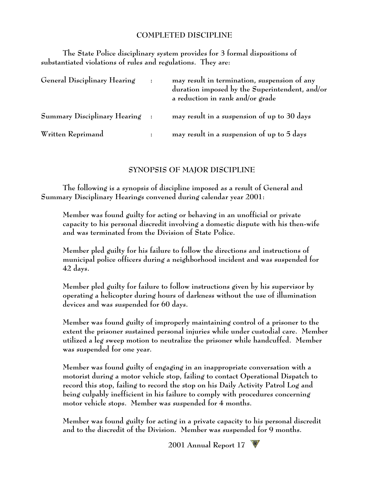## **COMPLETED DISCIPLINE**

**The State Police disciplinary system provides for 3 formal dispositions of substantiated violations of rules and regulations. They are:**

| General Disciplinary Hearing   | may result in termination, suspension of any<br>duration imposed by the Superintendent, and/or<br>a reduction in rank and/or grade |
|--------------------------------|------------------------------------------------------------------------------------------------------------------------------------|
| Summary Disciplinary Hearing : | may result in a suspension of up to 30 days                                                                                        |
| Written Reprimand              | may result in a suspension of up to 5 days                                                                                         |

#### **SYNOPSIS OF MAJOR DISCIPLINE**

**The following is a synopsis of discipline imposed as a result of General and Summary Disciplinary Hearings convened during calendar year 2001:**

**Member was found guilty for acting or behaving in an unofficial or private capacity to his personal discredit involving a domestic dispute with his then-wife and was terminated from the Division of State Police.**

**Member pled guilty for his failure to follow the directions and instructions of municipal police officers during a neighborhood incident and was suspended for 42 days.**

**Member pled guilty for failure to follow instructions given by his supervisor by operating a helicopter during hours of darkness without the use of illumination devices and was suspended for 60 days.**

**Member was found guilty of improperly maintaining control of a prisoner to the extent the prisoner sustained personal injuries while under custodial care. Member utilized a leg sweep motion to neutralize the prisoner while handcuffed. Member was suspended for one year.**

**Member was found guilty of engaging in an inappropriate conversation with a motorist during a motor vehicle stop, failing to contact Operational Dispatch to record this stop, failing to record the stop on his Daily Activity Patrol Log and being culpably inefficient in his failure to comply with procedures concerning motor vehicle stops. Member was suspended for 4 months.**

**Member was found guilty for acting in a private capacity to his personal discredit and to the discredit of the Division. Member was suspended for 9 months.**

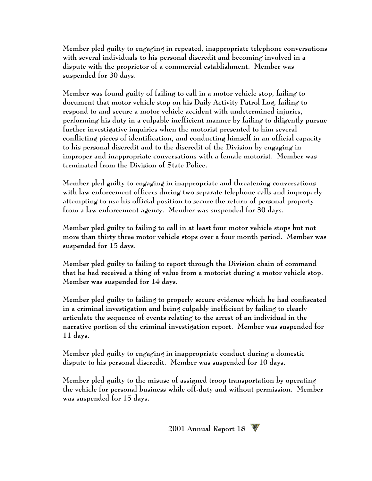**Member pled guilty to engaging in repeated, inappropriate telephone conversations with several individuals to his personal discredit and becoming involved in a dispute with the proprietor of a commercial establishment. Member was suspended for 30 days.**

**Member was found guilty of failing to call in a motor vehicle stop, failing to document that motor vehicle stop on his Daily Activity Patrol Log, failing to respond to and secure a motor vehicle accident with undetermined injuries, performing his duty in a culpable inefficient manner by failing to diligently pursue further investigative inquiries when the motorist presented to him several conflicting pieces of identification, and conducting himself in an official capacity to his personal discredit and to the discredit of the Division by engaging in improper and inappropriate conversations with a female motorist. Member was terminated from the Division of State Police.**

**Member pled guilty to engaging in inappropriate and threatening conversations with law enforcement officers during two separate telephone calls and improperly attempting to use his official position to secure the return of personal property from a law enforcement agency. Member was suspended for 30 days.**

**Member pled guilty to failing to call in at least four motor vehicle stops but not more than thirty three motor vehicle stops over a four month period. Member was suspended for 15 days.**

**Member pled guilty to failing to report through the Division chain of command that he had received a thing of value from a motorist during a motor vehicle stop. Member was suspended for 14 days.**

**Member pled guilty to failing to properly secure evidence which he had confiscated in a criminal investigation and being culpably inefficient by failing to clearly articulate the sequence of events relating to the arrest of an individual in the narrative portion of the criminal investigation report. Member was suspended for 11 days.**

**Member pled guilty to engaging in inappropriate conduct during a domestic dispute to his personal discredit. Member was suspended for 10 days.**

**Member pled guilty to the misuse of assigned troop transportation by operating the vehicle for personal business while off-duty and without permission. Member was suspended for 15 days.**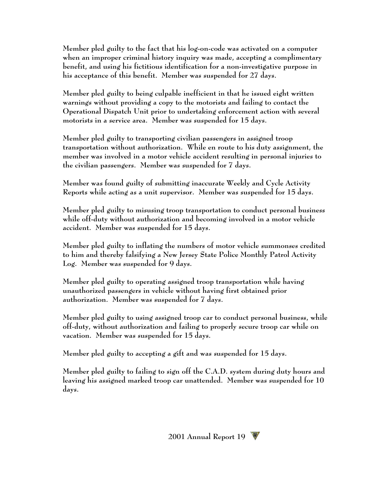**Member pled guilty to the fact that his log-on-code was activated on a computer when an improper criminal history inquiry was made, accepting a complimentary benefit, and using his fictitious identification for a non-investigative purpose in his acceptance of this benefit. Member was suspended for 27 days.**

**Member pled guilty to being culpable inefficient in that he issued eight written warnings without providing a copy to the motorists and failing to contact the Operational Dispatch Unit prior to undertaking enforcement action with several motorists in a service area. Member was suspended for 15 days.**

**Member pled guilty to transporting civilian passengers in assigned troop transportation without authorization. While en route to his duty assignment, the member was involved in a motor vehicle accident resulting in personal injuries to the civilian passengers. Member was suspended for 7 days.**

**Member was found guilty of submitting inaccurate Weekly and Cycle Activity Reports while acting as a unit supervisor. Member was suspended for 15 days.**

**Member pled guilty to misusing troop transportation to conduct personal business while off-duty without authorization and becoming involved in a motor vehicle accident. Member was suspended for 15 days.**

**Member pled guilty to inflating the numbers of motor vehicle summonses credited to him and thereby falsifying a New Jersey State Police Monthly Patrol Activity Log. Member was suspended for 9 days.**

**Member pled guilty to operating assigned troop transportation while having unauthorized passengers in vehicle without having first obtained prior authorization. Member was suspended for 7 days.**

**Member pled guilty to using assigned troop car to conduct personal business, while off-duty, without authorization and failing to properly secure troop car while on vacation. Member was suspended for 15 days.**

**Member pled guilty to accepting a gift and was suspended for 15 days.**

**Member pled guilty to failing to sign off the C.A.D. system during duty hours and leaving his assigned marked troop car unattended. Member was suspended for 10 days.**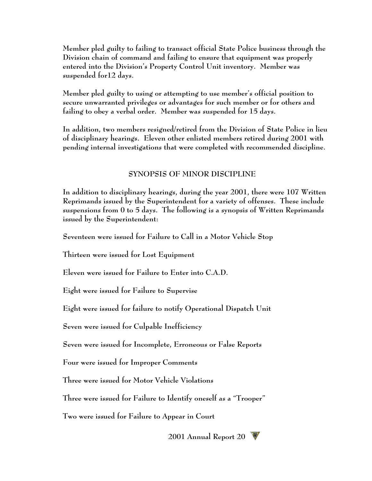**Member pled guilty to failing to transact official State Police business through the Division chain of command and failing to ensure that equipment was properly entered into the Division's Property Control Unit inventory. Member was suspended for12 days.**

**Member pled guilty to using or attempting to use member's official position to secure unwarranted privileges or advantages for such member or for others and failing to obey a verbal order. Member was suspended for 15 days.**

**In addition, two members resigned/retired from the Division of State Police in lieu of disciplinary hearings. Eleven other enlisted members retired during 2001 with pending internal investigations that were completed with recommended discipline.**

# **SYNOPSIS OF MINOR DISCIPLINE**

**In addition to disciplinary hearings, during the year 2001, there were 107 Written Reprimands issued by the Superintendent for a variety of offenses. These include suspensions from 0 to 5 days. The following is a synopsis of Written Reprimands issued by the Superintendent:**

**Seventeen were issued for Failure to Call in a Motor Vehicle Stop**

**Thirteen were issued for Lost Equipment**

**Eleven were issued for Failure to Enter into C.A.D.**

**Eight were issued for Failure to Supervise**

**Eight were issued for failure to notify Operational Dispatch Unit**

**Seven were issued for Culpable Inefficiency**

**Seven were issued for Incomplete, Erroneous or False Reports**

**Four were issued for Improper Comments**

**Three were issued for Motor Vehicle Violations**

**Three were issued for Failure to Identify oneself as a "Trooper"**

**Two were issued for Failure to Appear in Court**

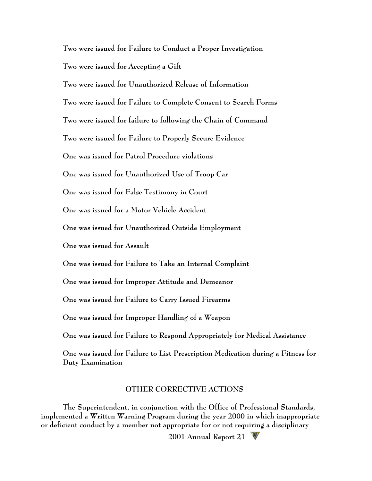**Two were issued for Failure to Conduct a Proper Investigation Two were issued for Accepting a Gift Two were issued for Unauthorized Release of Information Two were issued for Failure to Complete Consent to Search Forms Two were issued for failure to following the Chain of Command Two were issued for Failure to Properly Secure Evidence One was issued for Patrol Procedure violations One was issued for Unauthorized Use of Troop Car One was issued for False Testimony in Court One was issued for a Motor Vehicle Accident One was issued for Unauthorized Outside Employment One was issued for Assault One was issued for Failure to Take an Internal Complaint One was issued for Improper Attitude and Demeanor One was issued for Failure to Carry Issued Firearms One was issued for Improper Handling of a Weapon One was issued for Failure to Respond Appropriately for Medical Assistance One was issued for Failure to List Prescription Medication during a Fitness for Duty Examination**

## **OTHER CORRECTIVE ACTIONS**

**The Superintendent, in conjunction with the Office of Professional Standards, implemented a Written Warning Program during the year 2000 in which inappropriate or deficient conduct by a member not appropriate for or not requiring a disciplinary**